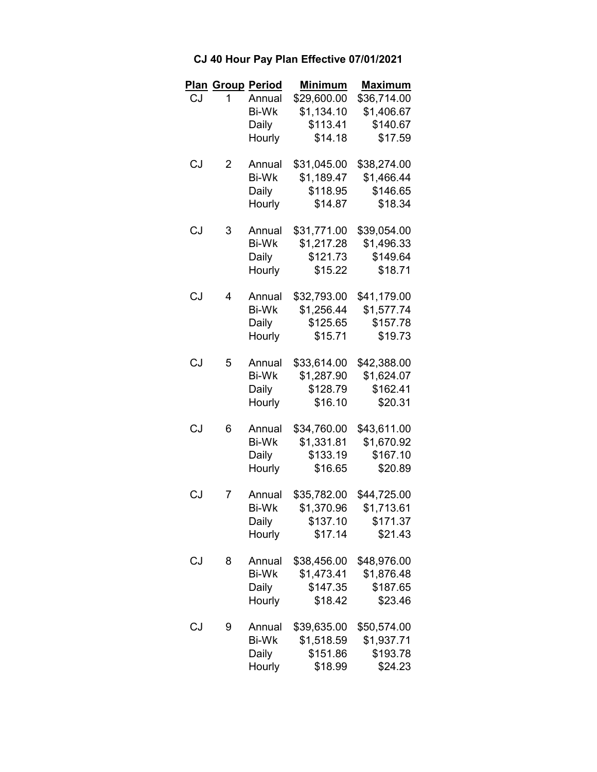|    | <b>Plan Group Period</b> |              | <b>Minimum</b> | <b>Maximum</b> |
|----|--------------------------|--------------|----------------|----------------|
| CJ | 1                        | Annual       | \$29,600.00    | \$36,714.00    |
|    |                          | <b>Bi-Wk</b> | \$1,134.10     | \$1,406.67     |
|    |                          | Daily        | \$113.41       | \$140.67       |
|    |                          | Hourly       | \$14.18        | \$17.59        |
| CJ | 2                        | Annual       | \$31,045.00    | \$38,274.00    |
|    |                          | <b>Bi-Wk</b> | \$1,189.47     | \$1,466.44     |
|    |                          | Daily        | \$118.95       | \$146.65       |
|    |                          | Hourly       | \$14.87        | \$18.34        |
| CJ | 3                        | Annual       | \$31,771.00    | \$39,054.00    |
|    |                          | <b>Bi-Wk</b> | \$1,217.28     | \$1,496.33     |
|    |                          | Daily        | \$121.73       | \$149.64       |
|    |                          | Hourly       | \$15.22        | \$18.71        |
| CJ | 4                        | Annual       | \$32,793.00    | \$41,179.00    |
|    |                          | Bi-Wk        | \$1,256.44     | \$1,577.74     |
|    |                          | Daily        | \$125.65       | \$157.78       |
|    |                          | Hourly       | \$15.71        | \$19.73        |
| CJ | 5                        | Annual       | \$33,614.00    | \$42,388.00    |
|    |                          | <b>Bi-Wk</b> | \$1,287.90     | \$1,624.07     |
|    |                          | Daily        | \$128.79       | \$162.41       |
|    |                          | Hourly       | \$16.10        | \$20.31        |
| CJ | 6                        | Annual       | \$34,760.00    | \$43,611.00    |
|    |                          | <b>Bi-Wk</b> | \$1,331.81     | \$1,670.92     |
|    |                          | Daily        | \$133.19       | \$167.10       |
|    |                          | Hourly       | \$16.65        | \$20.89        |
| CJ | 7                        | Annual       | \$35,782.00    | \$44,725.00    |
|    |                          | <b>Bi-Wk</b> | \$1,370.96     | \$1,713.61     |
|    |                          | Daily        | \$137.10       | \$171.37       |
|    |                          | Hourly       | \$17.14        | \$21.43        |
| CJ | 8                        | Annual       | \$38,456.00    | \$48,976.00    |
|    |                          | <b>Bi-Wk</b> | \$1,473.41     | \$1,876.48     |
|    |                          | Daily        | \$147.35       | \$187.65       |
|    |                          | Hourly       | \$18.42        | \$23.46        |
| CJ | 9                        | Annual       | \$39,635.00    | \$50,574.00    |
|    |                          | <b>Bi-Wk</b> | \$1,518.59     | \$1,937.71     |
|    |                          | Daily        | \$151.86       | \$193.78       |
|    |                          | Hourly       | \$18.99        | \$24.23        |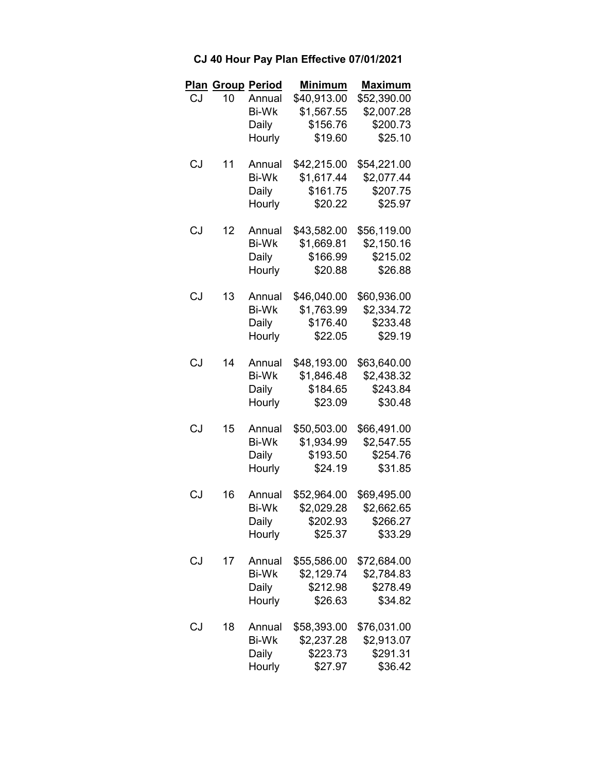|     |    | <b>Plan Group Period</b> | <b>Minimum</b> | <b>Maximum</b> |
|-----|----|--------------------------|----------------|----------------|
| CJ. | 10 | Annual                   | \$40,913.00    | \$52,390.00    |
|     |    | <b>Bi-Wk</b>             | \$1,567.55     | \$2,007.28     |
|     |    | Daily                    | \$156.76       | \$200.73       |
|     |    | Hourly                   | \$19.60        | \$25.10        |
| CJ  | 11 | Annual                   | \$42,215.00    | \$54,221.00    |
|     |    | <b>Bi-Wk</b>             | \$1,617.44     | \$2,077.44     |
|     |    | Daily                    | \$161.75       | \$207.75       |
|     |    | Hourly                   | \$20.22        | \$25.97        |
| CJ  | 12 | Annual                   | \$43,582.00    | \$56,119.00    |
|     |    | <b>Bi-Wk</b>             | \$1,669.81     | \$2,150.16     |
|     |    | Daily                    | \$166.99       | \$215.02       |
|     |    | Hourly                   | \$20.88        | \$26.88        |
| CJ  | 13 | Annual                   | \$46,040.00    | \$60,936.00    |
|     |    | Bi-Wk                    | \$1,763.99     | \$2,334.72     |
|     |    | Daily                    | \$176.40       | \$233.48       |
|     |    | Hourly                   | \$22.05        | \$29.19        |
| CJ  | 14 | Annual                   | \$48,193.00    | \$63,640.00    |
|     |    | <b>Bi-Wk</b>             | \$1,846.48     | \$2,438.32     |
|     |    | Daily                    | \$184.65       | \$243.84       |
|     |    | Hourly                   | \$23.09        | \$30.48        |
| CJ  | 15 | Annual                   | \$50,503.00    | \$66,491.00    |
|     |    | <b>Bi-Wk</b>             | \$1,934.99     | \$2,547.55     |
|     |    | Daily                    | \$193.50       | \$254.76       |
|     |    | Hourly                   | \$24.19        | \$31.85        |
| CJ  | 16 | Annual                   | \$52,964.00    | \$69,495.00    |
|     |    | <b>Bi-Wk</b>             | \$2,029.28     | \$2,662.65     |
|     |    | Daily                    | \$202.93       | \$266.27       |
|     |    | Hourly                   | \$25.37        | \$33.29        |
| CJ  | 17 | Annual                   | \$55,586.00    | \$72,684.00    |
|     |    | <b>Bi-Wk</b>             | \$2,129.74     | \$2,784.83     |
|     |    | Daily                    | \$212.98       | \$278.49       |
|     |    | Hourly                   | \$26.63        | \$34.82        |
| CJ  | 18 | Annual                   | \$58,393.00    | \$76,031.00    |
|     |    | <b>Bi-Wk</b>             | \$2,237.28     | \$2,913.07     |
|     |    | Daily                    | \$223.73       | \$291.31       |
|     |    | Hourly                   | \$27.97        | \$36.42        |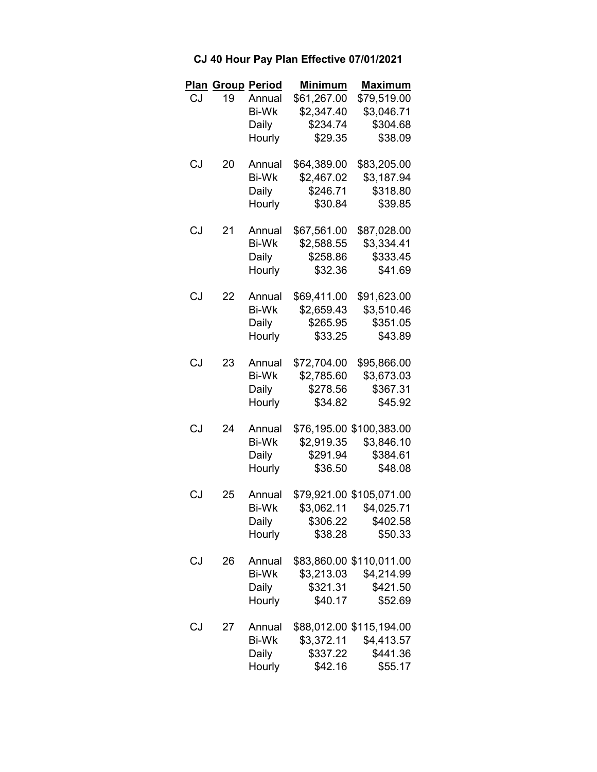|     | <b>Plan Group Period</b> |              | <b>Minimum</b> | <b>Maximum</b>           |
|-----|--------------------------|--------------|----------------|--------------------------|
| CJ. | 19                       | Annual       | \$61,267.00    | \$79,519.00              |
|     |                          | <b>Bi-Wk</b> | \$2,347.40     | \$3,046.71               |
|     |                          | Daily        | \$234.74       | \$304.68                 |
|     |                          | Hourly       | \$29.35        | \$38.09                  |
| CJ  | 20                       | Annual       | \$64,389.00    | \$83,205.00              |
|     |                          | <b>Bi-Wk</b> | \$2,467.02     | \$3,187.94               |
|     |                          | Daily        | \$246.71       | \$318.80                 |
|     |                          | Hourly       | \$30.84        | \$39.85                  |
| CJ  | 21                       | Annual       | \$67,561.00    | \$87,028.00              |
|     |                          | <b>Bi-Wk</b> | \$2,588.55     | \$3,334.41               |
|     |                          | Daily        | \$258.86       | \$333.45                 |
|     |                          | Hourly       | \$32.36        | \$41.69                  |
| CJ  | 22                       | Annual       | \$69,411.00    | \$91,623.00              |
|     |                          | Bi-Wk        | \$2,659.43     | \$3,510.46               |
|     |                          | Daily        | \$265.95       | \$351.05                 |
|     |                          | Hourly       | \$33.25        | \$43.89                  |
| CJ  | 23                       | Annual       | \$72,704.00    | \$95,866.00              |
|     |                          | Bi-Wk        | \$2,785.60     | \$3,673.03               |
|     |                          | Daily        | \$278.56       | \$367.31                 |
|     |                          | Hourly       | \$34.82        | \$45.92                  |
| CJ  | 24                       | Annual       |                | \$76,195.00 \$100,383.00 |
|     |                          | <b>Bi-Wk</b> | \$2,919.35     | \$3,846.10               |
|     |                          | Daily        | \$291.94       | \$384.61                 |
|     |                          | Hourly       | \$36.50        | \$48.08                  |
| CJ  | 25                       | Annual       |                | \$79,921.00 \$105,071.00 |
|     |                          | <b>Bi-Wk</b> |                | \$3,062.11 \$4,025.71    |
|     |                          | Daily        | \$306.22       | \$402.58                 |
|     |                          | Hourly       | \$38.28        | \$50.33                  |
| CJ  | 26                       | Annual       |                | \$83,860.00 \$110,011.00 |
|     |                          | <b>Bi-Wk</b> | \$3,213.03     | \$4,214.99               |
|     |                          | Daily        | \$321.31       | \$421.50                 |
|     |                          | Hourly       | \$40.17        | \$52.69                  |
| CJ  | 27                       | Annual       |                | \$88,012.00 \$115,194.00 |
|     |                          | <b>Bi-Wk</b> | \$3,372.11     | \$4,413.57               |
|     |                          | Daily        | \$337.22       | \$441.36                 |
|     |                          | Hourly       | \$42.16        | \$55.17                  |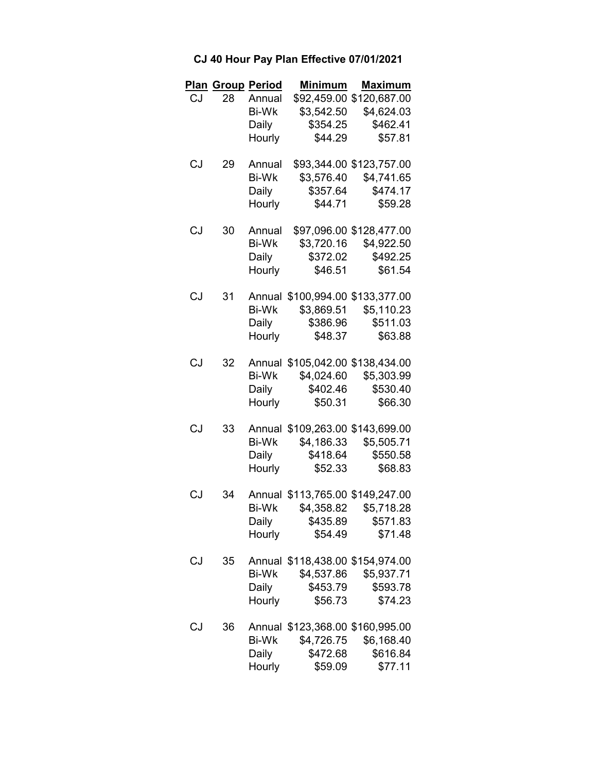|    |       | <b>Plan Group Period</b> | <b>Minimum</b>                   | <b>Maximum</b>            |
|----|-------|--------------------------|----------------------------------|---------------------------|
|    | CJ 28 | Annual                   |                                  | \$92,459.00 \$120,687.00  |
|    |       | Bi-Wk                    | \$3,542.50                       | \$4,624.03                |
|    |       | Daily                    | \$354.25                         | \$462.41                  |
|    |       | Hourly                   | \$44.29                          | \$57.81                   |
| CJ | 29    | Annual                   |                                  | \$93,344.00 \$123,757.00  |
|    |       | Bi-Wk                    |                                  | \$3,576.40 \$4,741.65     |
|    |       | Daily                    | \$357.64                         | \$474.17                  |
|    |       | Hourly                   | \$44.71                          | \$59.28                   |
| CJ | 30    | Annual                   |                                  | \$97,096.00 \$128,477.00  |
|    |       | Bi-Wk                    |                                  | \$3,720.16 \$4,922.50     |
|    |       |                          | Daily \$372.02 \$492.25          |                           |
|    |       |                          | Hourly \$46.51                   | \$61.54                   |
| CJ | 31    | Annual                   | \$100,994.00 \$133,377.00        |                           |
|    |       | Bi-Wk                    |                                  | \$3,869.51 \$5,110.23     |
|    |       |                          | Daily \$386.96 \$511.03          |                           |
|    |       |                          | Hourly \$48.37 \$63.88           |                           |
| CJ | 32    | Annual                   | \$105,042.00 \$138,434.00        |                           |
|    |       |                          | Bi-Wk \$4,024.60 \$5,303.99      |                           |
|    |       | Daily                    | \$402.46                         | \$530.40                  |
|    |       |                          | Hourly \$50.31                   | \$66.30                   |
| CJ | 33    | Annual                   |                                  | \$109,263.00 \$143,699.00 |
|    |       | Bi-Wk                    | \$4,186.33                       | \$5,505.71                |
|    |       |                          | Daily \$418.64 \$550.58          |                           |
|    |       |                          | Hourly \$52.33                   | \$68.83                   |
| CJ | 34    |                          | Annual \$113,765.00 \$149,247.00 |                           |
|    |       | Bi-Wk                    |                                  | \$4,358.82 \$5,718.28     |
|    |       | Daily                    | \$435.89                         | \$571.83                  |
|    |       | Hourly                   | \$54.49                          | \$71.48                   |
| CJ | 35    | Annual                   | \$118,438.00 \$154,974.00        |                           |
|    |       | <b>Bi-Wk</b>             | \$4,537.86                       | \$5,937.71                |
|    |       | Daily                    | \$453.79                         | \$593.78                  |
|    |       | Hourly                   | \$56.73                          | \$74.23                   |
| CJ | 36    |                          | Annual \$123,368.00 \$160,995.00 |                           |
|    |       | <b>Bi-Wk</b>             | \$4,726.75                       | \$6,168.40                |
|    |       | Daily                    | \$472.68                         | \$616.84                  |
|    |       | Hourly                   | \$59.09                          | \$77.11                   |